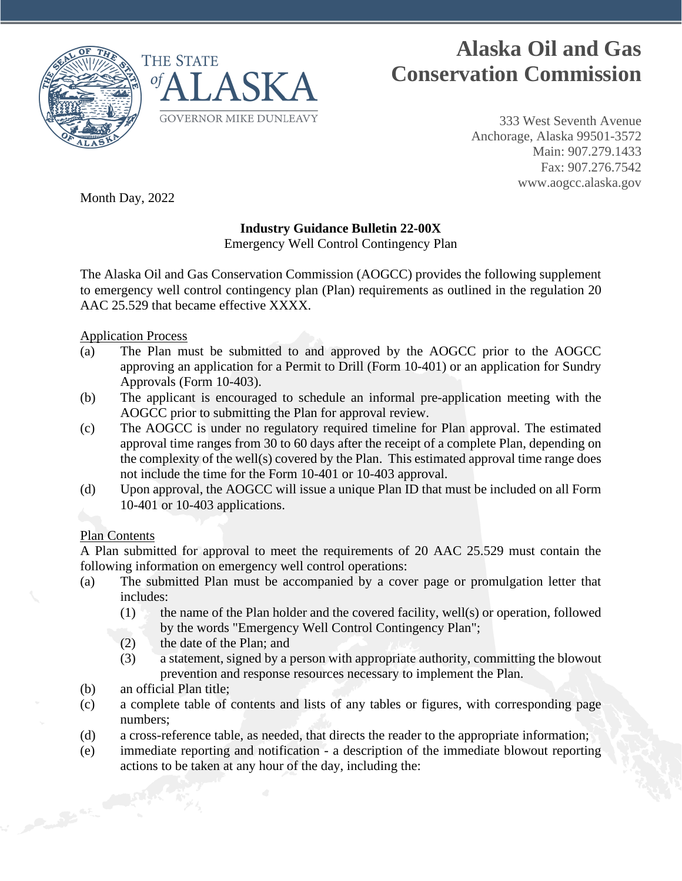

# **Alaska Oil and Gas Conservation Commission**

333 West Seventh Avenue Anchorage, Alaska 99501-3572 Main: 907.279.1433 Fax: 907.276.7542 www.aogcc.alaska.gov

Month Day, 2022

# **Industry Guidance Bulletin 22-00X**

Emergency Well Control Contingency Plan

The Alaska Oil and Gas Conservation Commission (AOGCC) provides the following supplement to emergency well control contingency plan (Plan) requirements as outlined in the regulation 20 AAC 25.529 that became effective XXXX.

### Application Process

- (a) The Plan must be submitted to and approved by the AOGCC prior to the AOGCC approving an application for a Permit to Drill (Form 10-401) or an application for Sundry Approvals (Form 10-403).
- (b) The applicant is encouraged to schedule an informal pre-application meeting with the AOGCC prior to submitting the Plan for approval review.
- (c) The AOGCC is under no regulatory required timeline for Plan approval. The estimated approval time ranges from 30 to 60 days after the receipt of a complete Plan, depending on the complexity of the well(s) covered by the Plan. This estimated approval time range does not include the time for the Form 10-401 or 10-403 approval.
- (d) Upon approval, the AOGCC will issue a unique Plan ID that must be included on all Form 10-401 or 10-403 applications.

### Plan Contents

A Plan submitted for approval to meet the requirements of 20 AAC 25.529 must contain the following information on emergency well control operations:

- (a) The submitted Plan must be accompanied by a cover page or promulgation letter that includes:
	- (1) the name of the Plan holder and the covered facility, well(s) or operation, followed by the words "Emergency Well Control Contingency Plan";
	- (2) the date of the Plan; and
	- (3) a statement, signed by a person with appropriate authority, committing the blowout prevention and response resources necessary to implement the Plan.
- (b) an official Plan title;
- (c) a complete table of contents and lists of any tables or figures, with corresponding page numbers;
- (d) a cross-reference table, as needed, that directs the reader to the appropriate information;
- (e) immediate reporting and notification a description of the immediate blowout reporting actions to be taken at any hour of the day, including the: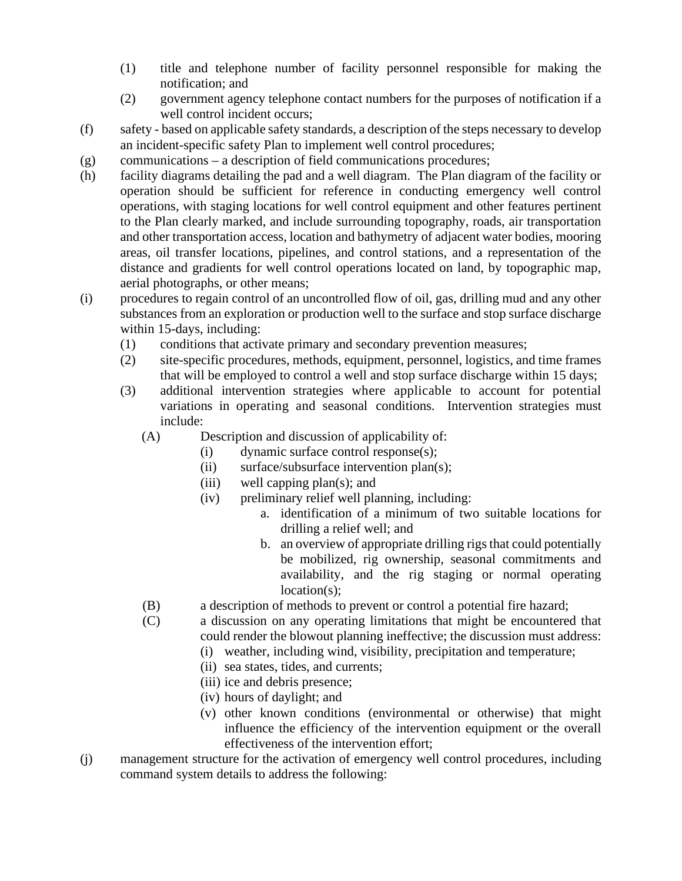- (1) title and telephone number of facility personnel responsible for making the notification; and
- (2) government agency telephone contact numbers for the purposes of notification if a well control incident occurs;
- (f) safety based on applicable safety standards, a description of the steps necessary to develop an incident-specific safety Plan to implement well control procedures;
- (g) communications a description of field communications procedures;
- (h) facility diagrams detailing the pad and a well diagram. The Plan diagram of the facility or operation should be sufficient for reference in conducting emergency well control operations, with staging locations for well control equipment and other features pertinent to the Plan clearly marked, and include surrounding topography, roads, air transportation and other transportation access, location and bathymetry of adjacent water bodies, mooring areas, oil transfer locations, pipelines, and control stations, and a representation of the distance and gradients for well control operations located on land, by topographic map, aerial photographs, or other means;
- (i) procedures to regain control of an uncontrolled flow of oil, gas, drilling mud and any other substances from an exploration or production well to the surface and stop surface discharge within 15-days, including:
	- (1) conditions that activate primary and secondary prevention measures;
	- (2) site-specific procedures, methods, equipment, personnel, logistics, and time frames that will be employed to control a well and stop surface discharge within 15 days;
	- (3) additional intervention strategies where applicable to account for potential variations in operating and seasonal conditions. Intervention strategies must include:
		- (A) Description and discussion of applicability of:
			- (i) dynamic surface control response(s);
			- (ii) surface/subsurface intervention plan(s);
			- (iii) well capping plan(s); and
			- (iv) preliminary relief well planning, including:
				- a. identification of a minimum of two suitable locations for drilling a relief well; and
				- b. an overview of appropriate drilling rigs that could potentially be mobilized, rig ownership, seasonal commitments and availability, and the rig staging or normal operating location(s);
		- (B) a description of methods to prevent or control a potential fire hazard;
		- (C) a discussion on any operating limitations that might be encountered that could render the blowout planning ineffective; the discussion must address:
			- (i) weather, including wind, visibility, precipitation and temperature;
			- (ii) sea states, tides, and currents;
			- (iii) ice and debris presence;
			- (iv) hours of daylight; and
			- (v) other known conditions (environmental or otherwise) that might influence the efficiency of the intervention equipment or the overall effectiveness of the intervention effort;
- (j) management structure for the activation of emergency well control procedures, including command system details to address the following: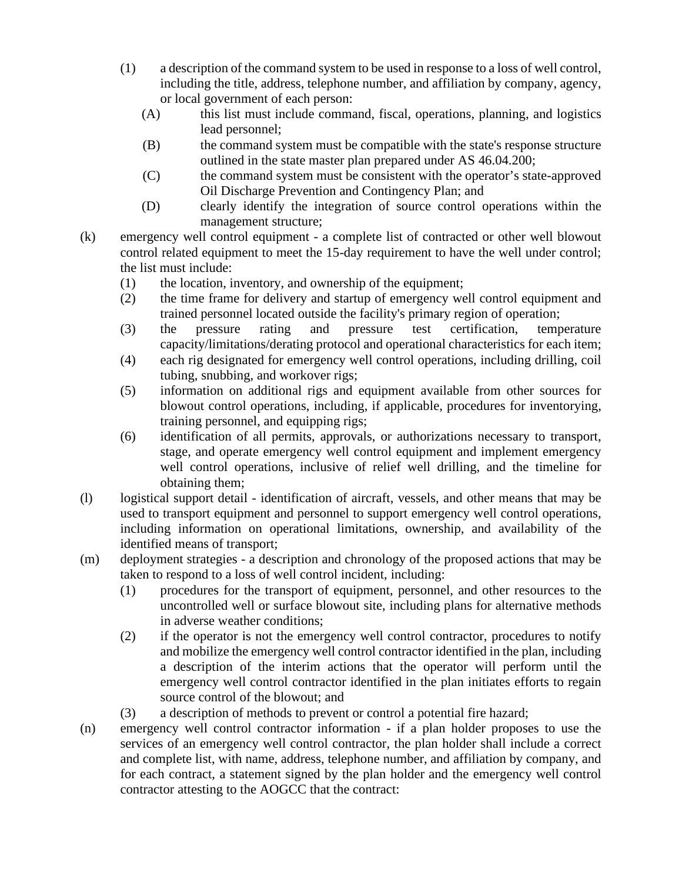- (1) a description of the command system to be used in response to a loss of well control, including the title, address, telephone number, and affiliation by company, agency, or local government of each person:
	- (A) this list must include command, fiscal, operations, planning, and logistics lead personnel;
	- (B) the command system must be compatible with the state's response structure outlined in the state master plan prepared under AS 46.04.200;
	- (C) the command system must be consistent with the operator's state-approved Oil Discharge Prevention and Contingency Plan; and
	- (D) clearly identify the integration of source control operations within the management structure;
- (k) emergency well control equipment a complete list of contracted or other well blowout control related equipment to meet the 15-day requirement to have the well under control; the list must include:
	- (1) the location, inventory, and ownership of the equipment;
	- (2) the time frame for delivery and startup of emergency well control equipment and trained personnel located outside the facility's primary region of operation;
	- (3) the pressure rating and pressure test certification, temperature capacity/limitations/derating protocol and operational characteristics for each item;
	- (4) each rig designated for emergency well control operations, including drilling, coil tubing, snubbing, and workover rigs;
	- (5) information on additional rigs and equipment available from other sources for blowout control operations, including, if applicable, procedures for inventorying, training personnel, and equipping rigs;
	- (6) identification of all permits, approvals, or authorizations necessary to transport, stage, and operate emergency well control equipment and implement emergency well control operations, inclusive of relief well drilling, and the timeline for obtaining them;
- (l) logistical support detail identification of aircraft, vessels, and other means that may be used to transport equipment and personnel to support emergency well control operations, including information on operational limitations, ownership, and availability of the identified means of transport;
- (m) deployment strategies a description and chronology of the proposed actions that may be taken to respond to a loss of well control incident, including:
	- (1) procedures for the transport of equipment, personnel, and other resources to the uncontrolled well or surface blowout site, including plans for alternative methods in adverse weather conditions;
	- (2) if the operator is not the emergency well control contractor, procedures to notify and mobilize the emergency well control contractor identified in the plan, including a description of the interim actions that the operator will perform until the emergency well control contractor identified in the plan initiates efforts to regain source control of the blowout; and
	- (3) a description of methods to prevent or control a potential fire hazard;
- (n) emergency well control contractor information if a plan holder proposes to use the services of an emergency well control contractor, the plan holder shall include a correct and complete list, with name, address, telephone number, and affiliation by company, and for each contract, a statement signed by the plan holder and the emergency well control contractor attesting to the AOGCC that the contract: